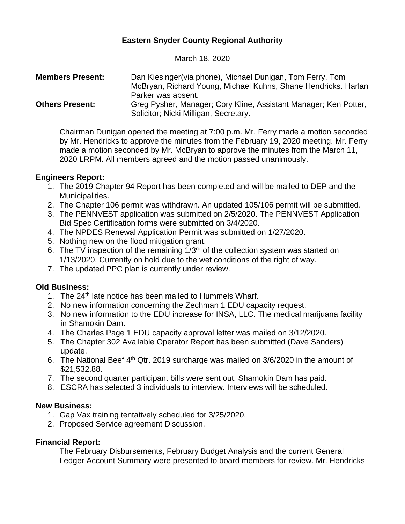# **Eastern Snyder County Regional Authority**

March 18, 2020

| <b>Members Present:</b> | Dan Kiesinger (via phone), Michael Dunigan, Tom Ferry, Tom       |
|-------------------------|------------------------------------------------------------------|
|                         | McBryan, Richard Young, Michael Kuhns, Shane Hendricks. Harlan   |
|                         | Parker was absent.                                               |
| <b>Others Present:</b>  | Greg Pysher, Manager; Cory Kline, Assistant Manager; Ken Potter, |
|                         | Solicitor; Nicki Milligan, Secretary.                            |

Chairman Dunigan opened the meeting at 7:00 p.m. Mr. Ferry made a motion seconded by Mr. Hendricks to approve the minutes from the February 19, 2020 meeting. Mr. Ferry made a motion seconded by Mr. McBryan to approve the minutes from the March 11, 2020 LRPM. All members agreed and the motion passed unanimously.

## **Engineers Report:**

- 1. The 2019 Chapter 94 Report has been completed and will be mailed to DEP and the Municipalities.
- 2. The Chapter 106 permit was withdrawn. An updated 105/106 permit will be submitted.
- 3. The PENNVEST application was submitted on 2/5/2020. The PENNVEST Application Bid Spec Certification forms were submitted on 3/4/2020.
- 4. The NPDES Renewal Application Permit was submitted on 1/27/2020.
- 5. Nothing new on the flood mitigation grant.
- 6. The TV inspection of the remaining  $1/3<sup>rd</sup>$  of the collection system was started on 1/13/2020. Currently on hold due to the wet conditions of the right of way.
- 7. The updated PPC plan is currently under review.

### **Old Business:**

- 1. The 24<sup>th</sup> late notice has been mailed to Hummels Wharf.
- 2. No new information concerning the Zechman 1 EDU capacity request.
- 3. No new information to the EDU increase for INSA, LLC. The medical marijuana facility in Shamokin Dam.
- 4. The Charles Page 1 EDU capacity approval letter was mailed on 3/12/2020.
- 5. The Chapter 302 Available Operator Report has been submitted (Dave Sanders) update.
- 6. The National Beef  $4<sup>th</sup>$  Qtr. 2019 surcharge was mailed on 3/6/2020 in the amount of \$21,532.88.
- 7. The second quarter participant bills were sent out. Shamokin Dam has paid.
- 8. ESCRA has selected 3 individuals to interview. Interviews will be scheduled.

### **New Business:**

- 1. Gap Vax training tentatively scheduled for 3/25/2020.
- 2. Proposed Service agreement Discussion.

### **Financial Report:**

The February Disbursements, February Budget Analysis and the current General Ledger Account Summary were presented to board members for review. Mr. Hendricks